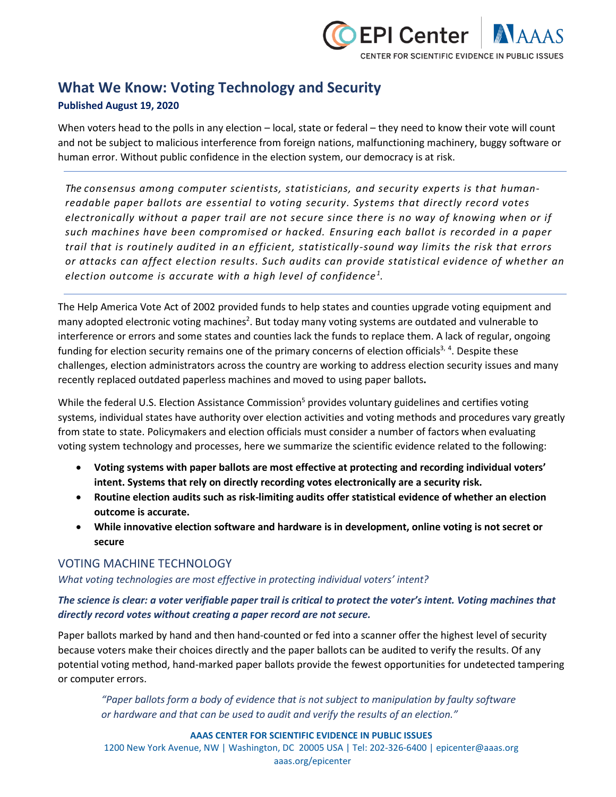

# **What We Know: Voting Technology and Security**

### **Published August 19, 2020**

When voters head to the polls in any election – local, state or federal – they need to know their vote will count and not be subject to malicious interference from foreign nations, malfunctioning machinery, buggy software or human error. Without public confidence in the election system, our democracy is at risk.

*The consensus among computer scientists, statisticians, and security experts is that humanreadable paper ballots are essential to voting security. Systems that directly record votes electronically without a paper trail are not secure since there is no way of knowing when or if such machines have been compromised or hacked. Ensuring each ballot is recorded in a paper trail that is routinely audited in an efficient, statistically-sound way limits the risk that errors or attacks can affect election results. Such audits can provide statistical evidence of whether an election outcome is accurate with a high level of confidence <sup>1</sup> .*

The Help America Vote Act of 2002 provided funds to help states and counties upgrade voting equipment and many adopted electronic voting machines<sup>2</sup>. But today many voting systems are outdated and vulnerable to interference or errors and some states and counties lack the funds to replace them. A lack of regular, ongoing funding for election security remains one of the primary concerns of election officials<sup>3, 4</sup>. Despite these challenges, election administrators across the country are working to address election security issues and many recently replaced outdated paperless machines and moved to using paper ballots**.**

While the federal U.S. Election Assistance Commission<sup>5</sup> provides voluntary guidelines and certifies voting systems, individual states have authority over election activities and voting methods and procedures vary greatly from state to state. Policymakers and election officials must consider a number of factors when evaluating voting system technology and processes, here we summarize the scientific evidence related to the following:

- **Voting systems with paper ballots are most effective at protecting and recording individual voters' intent. Systems that rely on directly recording votes electronically are a security risk.**
- **Routine election audits such as risk-limiting audits offer statistical evidence of whether an election outcome is accurate.**
- **While innovative election software and hardware is in development, online voting is not secret or secure**

### VOTING MACHINE TECHNOLOGY

### *What voting technologies are most effective in protecting individual voters' intent?*

### *The science is clear: a voter verifiable paper trail is critical to protect the voter's intent. Voting machines that directly record votes without creating a paper record are not secure.*

Paper ballots marked by hand and then hand-counted or fed into a scanner offer the highest level of security because voters make their choices directly and the paper ballots can be audited to verify the results. Of any potential voting method, hand-marked paper ballots provide the fewest opportunities for undetected tampering or computer errors.

*"Paper ballots form a body of evidence that is not subject to manipulation by faulty software or hardware and that can be used to audit and verify the results of an election."* 

#### **AAAS CENTER FOR SCIENTIFIC EVIDENCE IN PUBLIC ISSUES**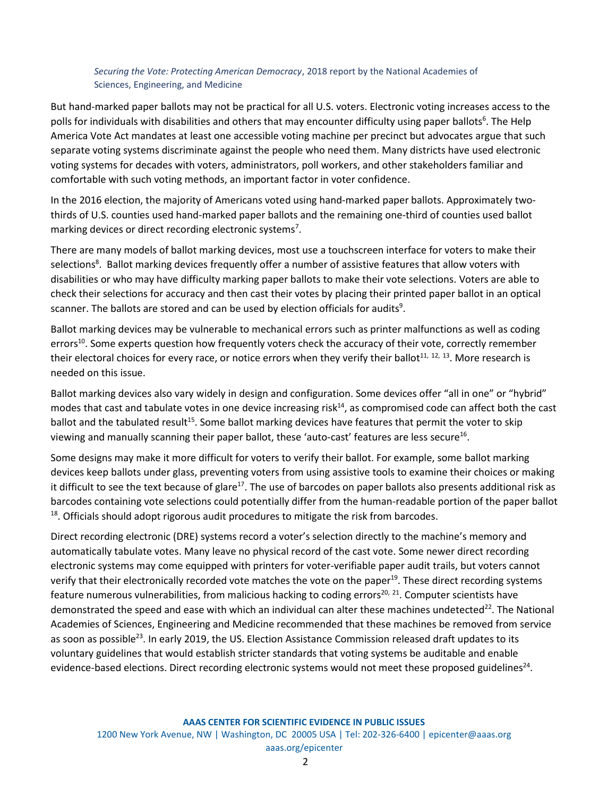#### *Securing the Vote: Protecting American Democracy*, 2018 report by the National Academies of Sciences, Engineering, and Medicine

But hand-marked paper ballots may not be practical for all U.S. voters. Electronic voting increases access to the polls for individuals with disabilities and others that may encounter difficulty using paper ballots<sup>6</sup>. The Help America Vote Act mandates at least one accessible voting machine per precinct but advocates argue that such separate voting systems discriminate against the people who need them. Many districts have used electronic voting systems for decades with voters, administrators, poll workers, and other stakeholders familiar and comfortable with such voting methods, an important factor in voter confidence.

In the 2016 election, the majority of Americans voted using hand-marked paper ballots. Approximately twothirds of U.S. counties used hand-marked paper ballots and the remaining one-third of counties used ballot marking devices or direct recording electronic systems<sup>7</sup>.

There are many models of ballot marking devices, most use a touchscreen interface for voters to make their selections<sup>8</sup>. Ballot marking devices frequently offer a number of assistive features that allow voters with disabilities or who may have difficulty marking paper ballots to make their vote selections. Voters are able to check their selections for accuracy and then cast their votes by placing their printed paper ballot in an optical scanner. The ballots are stored and can be used by election officials for audits<sup>9</sup>.

Ballot marking devices may be vulnerable to mechanical errors such as printer malfunctions as well as coding errors<sup>10</sup>. Some experts question how frequently voters check the accuracy of their vote, correctly remember their electoral choices for every race, or notice errors when they verify their ballot<sup>11, 12, 13</sup>. More research is needed on this issue.

Ballot marking devices also vary widely in design and configuration. Some devices offer "all in one" or "hybrid" modes that cast and tabulate votes in one device increasing risk $14$ , as compromised code can affect both the cast ballot and the tabulated result<sup>15</sup>. Some ballot marking devices have features that permit the voter to skip viewing and manually scanning their paper ballot, these 'auto-cast' features are less secure<sup>16</sup>.

Some designs may make it more difficult for voters to verify their ballot. For example, some ballot marking devices keep ballots under glass, preventing voters from using assistive tools to examine their choices or making it difficult to see the text because of glare<sup>17</sup>. The use of barcodes on paper ballots also presents additional risk as barcodes containing vote selections could potentially differ from the human-readable portion of the paper ballot <sup>18</sup>. Officials should adopt rigorous audit procedures to mitigate the risk from barcodes.

Direct recording electronic (DRE) systems record a voter's selection directly to the machine's memory and automatically tabulate votes. Many leave no physical record of the cast vote. Some newer direct recording electronic systems may come equipped with printers for voter-verifiable paper audit trails, but voters cannot verify that their electronically recorded vote matches the vote on the paper<sup>19</sup>. These direct recording systems feature numerous vulnerabilities, from malicious hacking to coding errors<sup>20, 21</sup>. Computer scientists have demonstrated the speed and ease with which an individual can alter these machines undetected<sup>22</sup>. The National Academies of Sciences, Engineering and Medicine recommended that these machines be removed from service as soon as possible<sup>23</sup>. In early 2019, the US. Election Assistance Commission released draft updates to its voluntary guidelines that would establish stricter standards that voting systems be auditable and enable evidence-based elections. Direct recording electronic systems would not meet these proposed guidelines<sup>24</sup>.

**AAAS CENTER FOR SCIENTIFIC EVIDENCE IN PUBLIC ISSUES**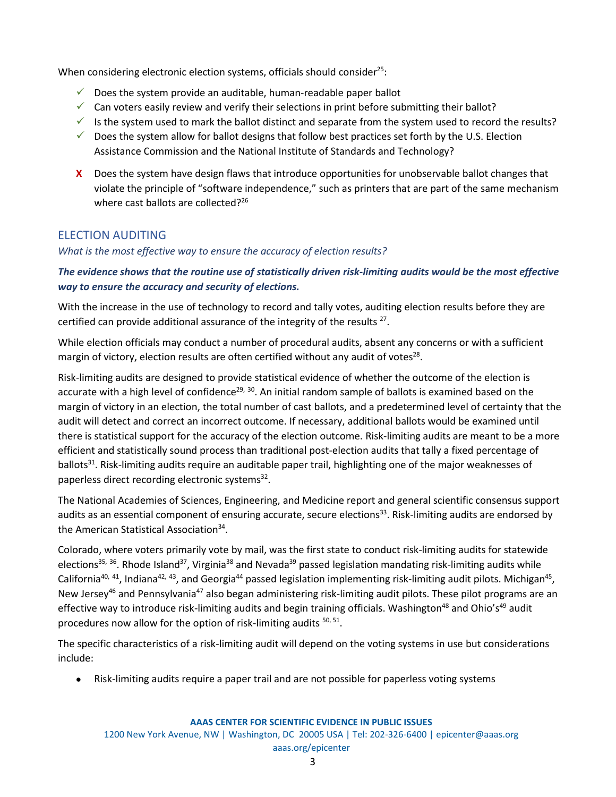When considering electronic election systems, officials should consider<sup>25</sup>:

- $\checkmark$  Does the system provide an auditable, human-readable paper ballot
- $\checkmark$  Can voters easily review and verify their selections in print before submitting their ballot?
- $\checkmark$  Is the system used to mark the ballot distinct and separate from the system used to record the results?
- $\checkmark$  Does the system allow for ballot designs that follow best practices set forth by the U.S. Election Assistance Commission and the National Institute of Standards and Technology?
- **X** Does the system have design flaws that introduce opportunities for unobservable ballot changes that violate the principle of "software independence," such as printers that are part of the same mechanism where cast ballots are collected?<sup>26</sup>

## ELECTION AUDITING

### *What is the most effective way to ensure the accuracy of election results?*

### *The evidence shows that the routine use of statistically driven risk-limiting audits would be the most effective way to ensure the accuracy and security of elections.*

With the increase in the use of technology to record and tally votes, auditing election results before they are certified can provide additional assurance of the integrity of the results  $27$ .

While election officials may conduct a number of procedural audits, absent any concerns or with a sufficient margin of victory, election results are often certified without any audit of votes $^{28}$ .

Risk-limiting audits are designed to provide statistical evidence of whether the outcome of the election is accurate with a high level of confidence<sup>29, 30</sup>. An initial random sample of ballots is examined based on the margin of victory in an election, the total number of cast ballots, and a predetermined level of certainty that the audit will detect and correct an incorrect outcome. If necessary, additional ballots would be examined until there is statistical support for the accuracy of the election outcome. Risk-limiting audits are meant to be a more efficient and statistically sound process than traditional post-election audits that tally a fixed percentage of ballots<sup>31</sup>. Risk-limiting audits require an auditable paper trail, highlighting one of the major weaknesses of paperless direct recording electronic systems<sup>32</sup>.

The National Academies of Sciences, Engineering, and Medicine report and general scientific consensus support audits as an essential component of ensuring accurate, secure elections<sup>33</sup>. Risk-limiting audits are endorsed by the American Statistical Association<sup>34</sup>.

Colorado, where voters primarily vote by mail, was the first state to conduct risk-limiting audits for statewide elections<sup>35, 36</sup>. Rhode Island<sup>37</sup>, Virginia<sup>38</sup> and Nevada<sup>39</sup> passed legislation mandating risk-limiting audits while California<sup>40, 41</sup>, Indiana<sup>42, 43</sup>, and Georgia<sup>44</sup> passed legislation implementing risk-limiting audit pilots. Michigan<sup>45</sup>, New Jersey<sup>46</sup> and Pennsylvania<sup>47</sup> also began administering risk-limiting audit pilots. These pilot programs are an effective way to introduce risk-limiting audits and begin training officials. Washington<sup>48</sup> and Ohio's<sup>49</sup> audit procedures now allow for the option of risk-limiting audits <sup>50, 51</sup>.

The specific characteristics of a risk-limiting audit will depend on the voting systems in use but considerations include:

• Risk-limiting audits require a paper trail and are not possible for paperless voting systems

#### **AAAS CENTER FOR SCIENTIFIC EVIDENCE IN PUBLIC ISSUES**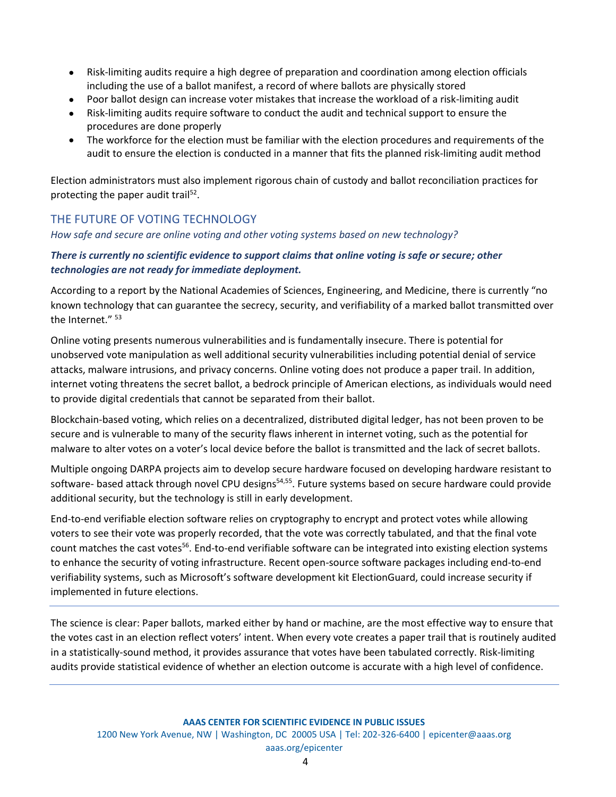- Risk-limiting audits require a high degree of preparation and coordination among election officials including the use of a ballot manifest, a record of where ballots are physically stored
- Poor ballot design can increase voter mistakes that increase the workload of a risk-limiting audit
- Risk-limiting audits require software to conduct the audit and technical support to ensure the procedures are done properly
- The workforce for the election must be familiar with the election procedures and requirements of the audit to ensure the election is conducted in a manner that fits the planned risk-limiting audit method

Election administrators must also implement rigorous chain of custody and ballot reconciliation practices for protecting the paper audit trail<sup>52</sup>.

# THE FUTURE OF VOTING TECHNOLOGY

*How safe and secure are online voting and other voting systems based on new technology?* 

### *There is currently no scientific evidence to support claims that online voting is safe or secure; other technologies are not ready for immediate deployment.*

According to a report by the National Academies of Sciences, Engineering, and Medicine, there is currently "no known technology that can guarantee the secrecy, security, and verifiability of a marked ballot transmitted over the Internet." 53

Online voting presents numerous vulnerabilities and is fundamentally insecure. There is potential for unobserved vote manipulation as well additional security vulnerabilities including potential denial of service attacks, malware intrusions, and privacy concerns. Online voting does not produce a paper trail. In addition, internet voting threatens the secret ballot, a bedrock principle of American elections, as individuals would need to provide digital credentials that cannot be separated from their ballot.

Blockchain-based voting, which relies on a decentralized, distributed digital ledger, has not been proven to be secure and is vulnerable to many of the security flaws inherent in internet voting, such as the potential for malware to alter votes on a voter's local device before the ballot is transmitted and the lack of secret ballots.

Multiple ongoing DARPA projects aim to develop secure hardware focused on developing hardware resistant to software- based attack through novel CPU designs<sup>54,55</sup>. Future systems based on secure hardware could provide additional security, but the technology is still in early development.

End-to-end verifiable election software relies on cryptography to encrypt and protect votes while allowing voters to see their vote was properly recorded, that the vote was correctly tabulated, and that the final vote count matches the cast votes<sup>56</sup>. End-to-end verifiable software can be integrated into existing election systems to enhance the security of voting infrastructure. Recent open-source software packages including end-to-end verifiability systems, such as Microsoft's software development kit ElectionGuard, could increase security if implemented in future elections.

The science is clear: Paper ballots, marked either by hand or machine, are the most effective way to ensure that the votes cast in an election reflect voters' intent. When every vote creates a paper trail that is routinely audited in a statistically-sound method, it provides assurance that votes have been tabulated correctly. Risk-limiting audits provide statistical evidence of whether an election outcome is accurate with a high level of confidence.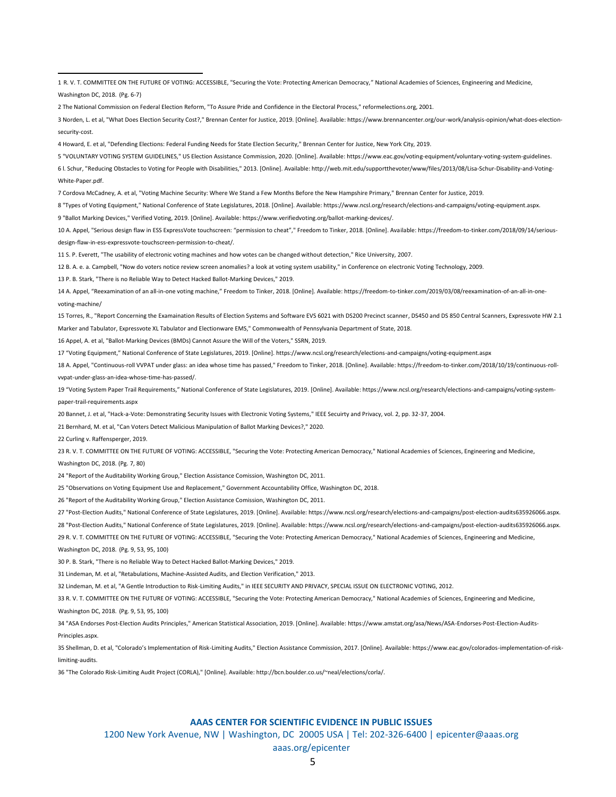R. V. T. COMMITTEE ON THE FUTURE OF VOTING: ACCESSIBLE, "Securing the Vote: Protecting American Democracy," National Academies of Sciences, Engineering and Medicine, Washington DC, 2018. (Pg. 6-7)

The National Commission on Federal Election Reform, "To Assure Pride and Confidence in the Electoral Process," reformelections.org, 2001.

 Norden, L. et al, "What Does Election Security Cost?," Brennan Center for Justice, 2019. [Online]. Available: https://www.brennancenter.org/our-work/analysis-opinion/what-does-electionsecurity-cost.

Howard, E. et al, "Defending Elections: Federal Funding Needs for State Election Security," Brennan Center for Justice, New York City, 2019.

"VOLUNTARY VOTING SYSTEM GUIDELINES," US Election Assistance Commission, 2020. [Online]. Available: https://www.eac.gov/voting-equipment/voluntary-voting-system-guidelines.

 l. Schur, "Reducing Obstacles to Voting for People with Disabilities," 2013. [Online]. Available: http://web.mit.edu/supportthevoter/www/files/2013/08/Lisa-Schur-Disability-and-Voting-White-Paper.pdf.

Cordova McCadney, A. et al, "Voting Machine Security: Where We Stand a Few Months Before the New Hampshire Primary," Brennan Center for Justice, 2019.

"Types of Voting Equipment," National Conference of State Legislatures, 2018. [Online]. Available: https://www.ncsl.org/research/elections-and-campaigns/voting-equipment.aspx.

"Ballot Marking Devices," Verified Voting, 2019. [Online]. Available: https://www.verifiedvoting.org/ballot-marking-devices/.

 A. Appel, "Serious design flaw in ESS ExpressVote touchscreen: "permission to cheat"," Freedom to Tinker, 2018. [Online]. Available: https://freedom-to-tinker.com/2018/09/14/seriousdesign-flaw-in-ess-expressvote-touchscreen-permission-to-cheat/.

S. P. Everett, "The usability of electronic voting machines and how votes can be changed without detection," Rice University, 2007.

B. A. e. a. Campbell, "Now do voters notice review screen anomalies? a look at voting system usability," in Conference on electronic Voting Technology, 2009.

P. B. Stark, "There is no Reliable Way to Detect Hacked Ballot-Marking Devices," 2019.

 A. Appel, "Reexamination of an all-in-one voting machine," Freedom to Tinker, 2018. [Online]. Available: https://freedom-to-tinker.com/2019/03/08/reexamination-of-an-all-in-onevoting-machine/

 Torres, R., "Report Concerning the Examaination Results of Election Systems and Software EVS 6021 with DS200 Precinct scanner, DS450 and DS 850 Central Scanners, Expressvote HW 2.1 Marker and Tabulator, Expressvote XL Tabulator and Electionware EMS," Commonwealth of Pennsylvania Department of State, 2018.

Appel, A. et al, "Ballot-Marking Devices (BMDs) Cannot Assure the Will of the Voters," SSRN, 2019.

"Voting Equipment," National Conference of State Legislatures, 2019. [Online]. https://www.ncsl.org/research/elections-and-campaigns/voting-equipment.aspx

 A. Appel, "Continuous-roll VVPAT under glass: an idea whose time has passed," Freedom to Tinker, 2018. [Online]. Available: https://freedom-to-tinker.com/2018/10/19/continuous-rollvvpat-under-glass-an-idea-whose-time-has-passed/.

 "Voting System Paper Trail Requirements," National Conference of State Legislatures, 2019. [Online]. Available: https://www.ncsl.org/research/elections-and-campaigns/voting-systempaper-trail-requirements.aspx

Bannet, J. et al, "Hack-a-Vote: Demonstrating Security Issues with Electronic Voting Systems," IEEE Secuirty and Privacy, vol. 2, pp. 32-37, 2004.

Bernhard, M. et al, "Can Voters Detect Malicious Manipulation of Ballot Marking Devices?," 2020.

Curling v. Raffensperger, 2019.

 R. V. T. COMMITTEE ON THE FUTURE OF VOTING: ACCESSIBLE, "Securing the Vote: Protecting American Democracy," National Academies of Sciences, Engineering and Medicine, Washington DC, 2018. (Pg. 7, 80)

"Report of the Auditability Working Group," Election Assistance Comission, Washington DC, 2011.

"Observations on Voting Equipment Use and Replacement," Government Accountability Office, Washington DC, 2018.

"Report of the Auditability Working Group," Election Assistance Comission, Washington DC, 2011.

"Post-Election Audits," National Conference of State Legislatures, 2019. [Online]. Available: https://www.ncsl.org/research/elections-and-campaigns/post-election-audits635926066.aspx.

"Post-Election Audits," National Conference of State Legislatures, 2019. [Online]. Available: https://www.ncsl.org/research/elections-and-campaigns/post-election-audits635926066.aspx.

R. V. T. COMMITTEE ON THE FUTURE OF VOTING: ACCESSIBLE, "Securing the Vote: Protecting American Democracy," National Academies of Sciences, Engineering and Medicine,

Washington DC, 2018. (Pg. 9, 53, 95, 100)

P. B. Stark, "There is no Reliable Way to Detect Hacked Ballot-Marking Devices," 2019.

Lindeman, M. et al, "Retabulations, Machine-Assisted Audits, and Election Verification," 2013.

Lindeman, M. et al, "A Gentle Introduction to Risk-Limiting Audits," in IEEE SECURITY AND PRIVACY, SPECIAL ISSUE ON ELECTRONIC VOTING, 2012.

R. V. T. COMMITTEE ON THE FUTURE OF VOTING: ACCESSIBLE, "Securing the Vote: Protecting American Democracy," National Academies of Sciences, Engineering and Medicine,

Washington DC, 2018. (Pg. 9, 53, 95, 100)

 "ASA Endorses Post-Election Audits Principles," American Statistical Association, 2019. [Online]. Available: https://www.amstat.org/asa/News/ASA-Endorses-Post-Election-Audits-Principles.aspx.

 Shellman, D. et al, "Colorado's Implementation of Risk-Limiting Audits," Election Assistance Commission, 2017. [Online]. Available: https://www.eac.gov/colorados-implementation-of-risklimiting-audits.

"The Colorado Risk-Limiting Audit Project (CORLA)," [Online]. Available: http://bcn.boulder.co.us/~neal/elections/corla/.

#### **AAAS CENTER FOR SCIENTIFIC EVIDENCE IN PUBLIC ISSUES**

1200 New York Avenue, NW | Washington, DC 20005 USA | Tel: 202-326-6400 | epicenter@aaas.org

#### aaas.org/epicenter